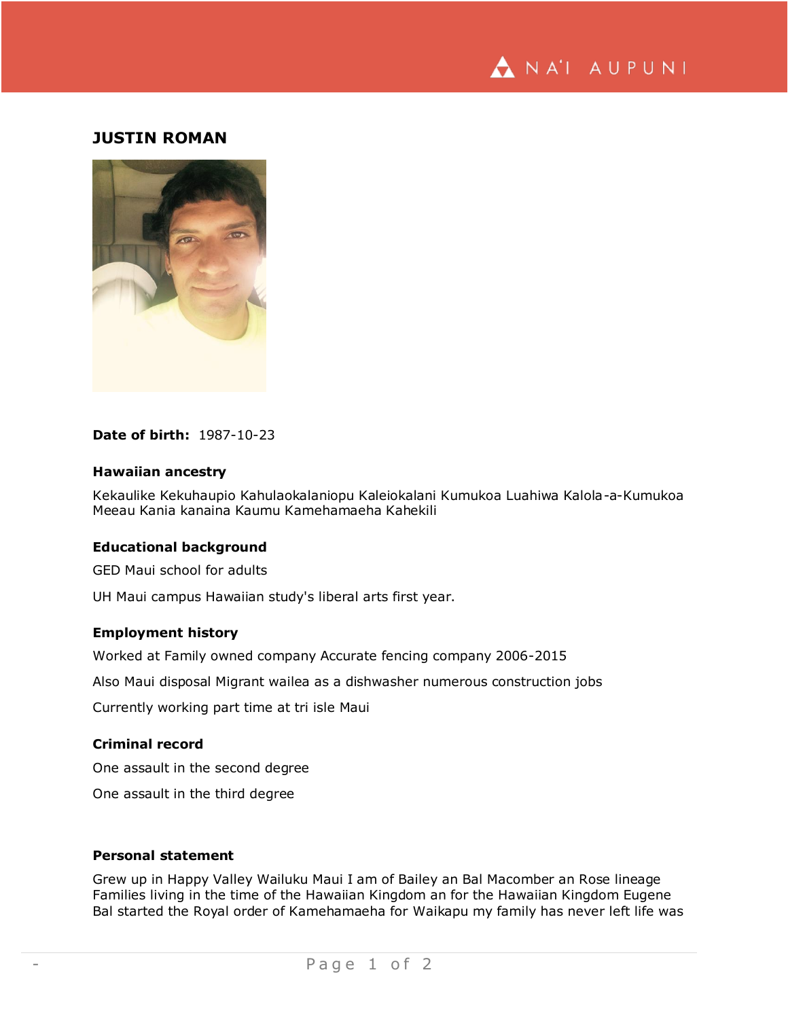

# **JUSTIN ROMAN**



## **Date of birth:** 1987-10-23

### **Hawaiian ancestry**

Kekaulike Kekuhaupio Kahulaokalaniopu Kaleiokalani Kumukoa Luahiwa Kalola-a-Kumukoa Meeau Kania kanaina Kaumu Kamehamaeha Kahekili

## **Educational background**

GED Maui school for adults

UH Maui campus Hawaiian study's liberal arts first year.

# **Employment history**

Worked at Family owned company Accurate fencing company 2006-2015

Also Maui disposal Migrant wailea as a dishwasher numerous construction jobs

Currently working part time at tri isle Maui

### **Criminal record**

One assault in the second degree

One assault in the third degree

#### **Personal statement**

Grew up in Happy Valley Wailuku Maui I am of Bailey an Bal Macomber an Rose lineage Families living in the time of the Hawaiian Kingdom an for the Hawaiian Kingdom Eugene Bal started the Royal order of Kamehamaeha for Waikapu my family has never left life was